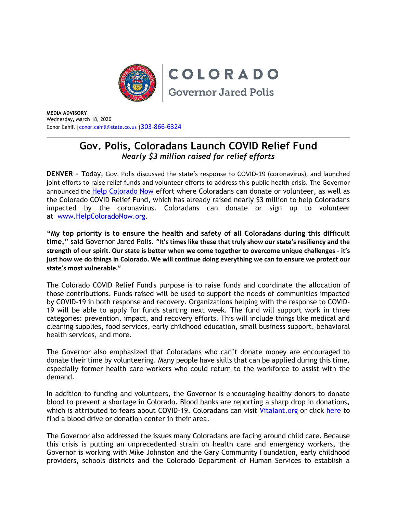

**MEDIA ADVISORY** Wednesday, March 18, 2020 Conor Cahill [|conor.cahill@state.co.us](mailto:conor.cahill@state.co.us) |[303-866-6324](tel:303-866-6324)

## **Gov. Polis, Coloradans Launch COVID Relief Fund** *Nearly \$3 million raised for relief efforts*

**DENVER -** Today, Gov. Polis discussed the state's response to COVID-19 (coronavirus), and launched joint efforts to raise relief funds and volunteer efforts to address this public health crisis. The Governor announced the [Help Colorado Now](https://urldefense.proofpoint.com/v2/url?u=https-3A__covrn.com_&d=DwMFaQ&c=sdnEM9SRGFuMt5z5w3AhsPNahmNicq64TgF1JwNR0cs&r=Ir_c1GovS6w--m7uB3Yuecj4JuBxwPChd1rHY5aVh2E&m=YXXVKALlS4nIZYylR6-S3vIipUowOF39HrX3LQOeUGU&s=lhBzy1VWoA7Vkg5vNf249SApd7FQf2wJfLBroSmmdS4&e=) effort where Coloradans can donate or volunteer, as well as the Colorado COVID Relief Fund, which has already raised nearly \$3 million to help Coloradans impacted by the coronavirus. Coloradans can donate or sign up to volunteer at [www.HelpColoradoNow.org.](https://urldefense.proofpoint.com/v2/url?u=http-3A__www.helpcoloradonow.org&d=DwMFaQ&c=sdnEM9SRGFuMt5z5w3AhsPNahmNicq64TgF1JwNR0cs&r=Ir_c1GovS6w--m7uB3Yuecj4JuBxwPChd1rHY5aVh2E&m=YXXVKALlS4nIZYylR6-S3vIipUowOF39HrX3LQOeUGU&s=HPTW24_JkjNoECBri1f4GYxJKnpFUMp625WNthcmzIo&e=)

**"My top priority is to ensure the health and safety of all Coloradans during this difficult time,"** said Governor Jared Polis. **"It's times like these that truly show our state's resiliency and the strength of our spirit. Our state is better when we come together to overcome unique challenges - it's just how we do things in Colorado. We will continue doing everything we can to ensure we protect our state's most vulnerable."**

The Colorado COVID Relief Fund's purpose is to raise funds and coordinate the allocation of those contributions. Funds raised will be used to support the needs of communities impacted by COVID-19 in both response and recovery. Organizations helping with the response to COVID-19 will be able to apply for funds starting next week. The fund will support work in three categories: prevention, impact, and recovery efforts. This will include things like medical and cleaning supplies, food services, early childhood education, small business support, behavioral health services, and more.

The Governor also emphasized that Coloradans who can't donate money are encouraged to donate their time by volunteering. Many people have skills that can be applied during this time, especially former health care workers who could return to the workforce to assist with the demand.

In addition to funding and volunteers, the Governor is encouraging healthy donors to donate blood to prevent a shortage in Colorado. Blood banks are reporting a sharp drop in donations, which is attributed to fears about COVID-19. Coloradans can visit [Vitalant.org](http://vitalant.org/) or click [here](https://urldefense.proofpoint.com/v2/url?u=https-3A__drive.google.com_file_d_1TotTKQLgYd92t7SD3XhvA2SqIs40qlpN_view-3Fusp-3Dsharing&d=DwMFaQ&c=sdnEM9SRGFuMt5z5w3AhsPNahmNicq64TgF1JwNR0cs&r=Ir_c1GovS6w--m7uB3Yuecj4JuBxwPChd1rHY5aVh2E&m=YXXVKALlS4nIZYylR6-S3vIipUowOF39HrX3LQOeUGU&s=jgXxtv4TGOy7QVg9HkSsv6A7A2d40NteX1_kntPZfAk&e=) to find a blood drive or donation center in their area.

The Governor also addressed the issues many Coloradans are facing around child care. Because this crisis is putting an unprecedented strain on health care and emergency workers, the Governor is working with Mike Johnston and the Gary Community Foundation, early childhood providers, schools districts and the Colorado Department of Human Services to establish a